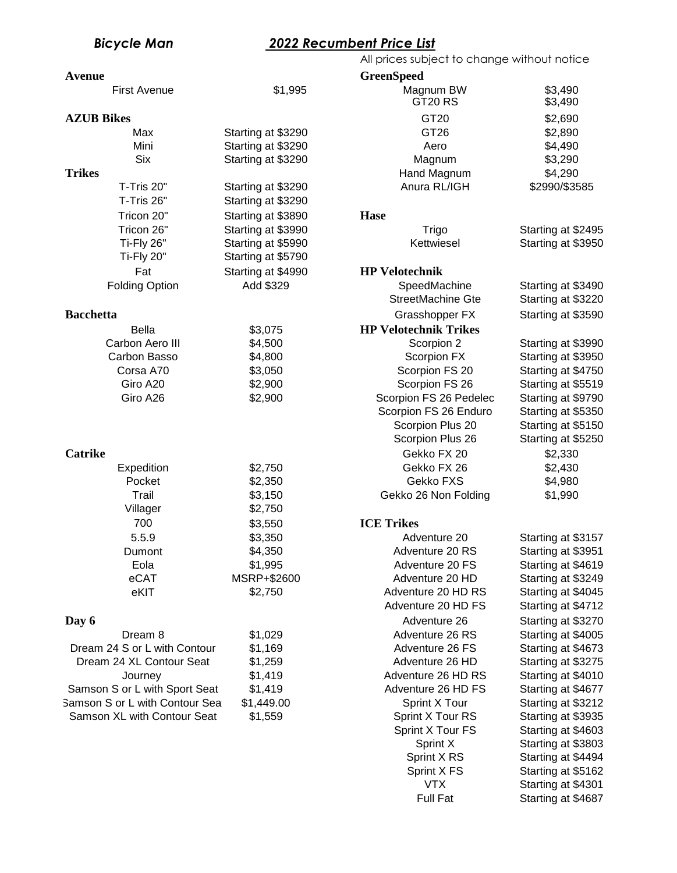## *Bicycle Man 2022 Recumbent Price List*

| <b>Avenue</b>                  |                    | <b>GreenSpeed</b>            |                    |
|--------------------------------|--------------------|------------------------------|--------------------|
| <b>First Avenue</b>            | \$1,995            | Magnum BW<br>GT20 RS         | \$3,490<br>\$3,490 |
| <b>AZUB Bikes</b>              |                    | GT20                         | \$2,690            |
| Max                            | Starting at \$3290 | GT26                         | \$2,890            |
| Mini                           | Starting at \$3290 | Aero                         | \$4,490            |
| <b>Six</b>                     | Starting at \$3290 | Magnum                       | \$3,290            |
| <b>Trikes</b>                  |                    | Hand Magnum                  | \$4,290            |
| T-Tris 20"                     | Starting at \$3290 | Anura RL/IGH                 | \$2990/\$3585      |
| T-Tris 26"                     | Starting at \$3290 |                              |                    |
| Tricon 20"                     | Starting at \$3890 | <b>Hase</b>                  |                    |
| Tricon 26"                     | Starting at \$3990 | Trigo                        | Starting at \$2495 |
| Ti-Fly 26"                     | Starting at \$5990 | Kettwiesel                   | Starting at \$3950 |
| Ti-Fly 20"                     | Starting at \$5790 |                              |                    |
| Fat                            | Starting at \$4990 | <b>HP Velotechnik</b>        |                    |
| <b>Folding Option</b>          | Add \$329          | SpeedMachine                 | Starting at \$3490 |
|                                |                    | StreetMachine Gte            | Starting at \$3220 |
| <b>Bacchetta</b>               |                    | Grasshopper FX               | Starting at \$3590 |
|                                |                    |                              |                    |
| <b>Bella</b>                   | \$3,075            | <b>HP Velotechnik Trikes</b> |                    |
| Carbon Aero III                | \$4,500            | Scorpion 2                   | Starting at \$3990 |
| Carbon Basso                   | \$4,800            | Scorpion FX                  | Starting at \$3950 |
| Corsa A70                      | \$3,050            | Scorpion FS 20               | Starting at \$4750 |
| Giro A20                       | \$2,900            | Scorpion FS 26               | Starting at \$5519 |
| Giro A26                       | \$2,900            | Scorpion FS 26 Pedelec       | Starting at \$9790 |
|                                |                    | Scorpion FS 26 Enduro        | Starting at \$5350 |
|                                |                    | Scorpion Plus 20             | Starting at \$5150 |
|                                |                    | Scorpion Plus 26             | Starting at \$5250 |
| <b>Catrike</b>                 |                    | Gekko FX 20                  | \$2,330            |
| Expedition                     | \$2,750            | Gekko FX 26                  | \$2,430            |
| Pocket                         | \$2,350            | Gekko FXS                    | \$4,980            |
| Trail                          | \$3,150            | Gekko 26 Non Folding         | \$1,990            |
| Villager                       | \$2,750            |                              |                    |
| 700                            | \$3,550            | <b>ICE Trikes</b>            |                    |
| 5.5.9                          | \$3,350            | Adventure 20                 | Starting at \$3157 |
| Dumont                         | \$4,350            | Adventure 20 RS              | Starting at \$3951 |
| Eola                           | \$1,995            | Adventure 20 FS              | Starting at \$4619 |
| eCAT                           | MSRP+\$2600        | Adventure 20 HD              | Starting at \$3249 |
| eKIT                           | \$2,750            | Adventure 20 HD RS           | Starting at \$4045 |
|                                |                    | Adventure 20 HD FS           | Starting at \$4712 |
| Day 6                          |                    | Adventure 26                 | Starting at \$3270 |
| Dream 8                        | \$1,029            | Adventure 26 RS              | Starting at \$4005 |
| Dream 24 S or L with Contour   | \$1,169            | Adventure 26 FS              | Starting at \$4673 |
| Dream 24 XL Contour Seat       | \$1,259            | Adventure 26 HD              | Starting at \$3275 |
| Journey                        | \$1,419            | Adventure 26 HD RS           | Starting at \$4010 |
| Samson S or L with Sport Seat  | \$1,419            | Adventure 26 HD FS           | Starting at \$4677 |
| Samson S or L with Contour Sea | \$1,449.00         | Sprint X Tour                | Starting at \$3212 |
|                                |                    |                              |                    |
| Samson XL with Contour Seat    | \$1,559            | Sprint X Tour RS             | Starting at \$3935 |
|                                |                    | Sprint X Tour FS             | Starting at \$4603 |
|                                |                    | Sprint X                     | Starting at \$3803 |
|                                |                    | Sprint X RS                  | Starting at \$4494 |
|                                |                    | Sprint X FS                  | Starting at \$5162 |
|                                |                    | <b>VTX</b>                   | Starting at \$4301 |

| ww                         |                                          |
|----------------------------|------------------------------------------|
| Magnum BW                  | \$3,490                                  |
| GT <sub>20</sub> RS        | \$3,490                                  |
| GT20                       | \$2,690                                  |
| GT <sub>26</sub>           | \$2,890                                  |
| Aero<br>Magnum             | \$4,490<br>\$3,290                       |
| Hand Magnum                | \$4,290                                  |
| Anura RL/IGH               | \$2990/\$3585                            |
|                            |                                          |
| se                         |                                          |
| Trigo                      | Starting at \$2495                       |
| Kettwiesel                 | Starting at \$3950                       |
| Velotechnik                |                                          |
| SpeedMachine               | Starting at \$3490                       |
| <b>StreetMachine Gte</b>   | Starting at \$3220                       |
| Grasshopper FX             | Starting at \$3590                       |
| <b>Velotechnik Trikes</b>  |                                          |
| Scorpion 2                 | Starting at \$3990                       |
| Scorpion FX                | Starting at \$3950                       |
| Scorpion FS 20             | Starting at \$4750                       |
| Scorpion FS 26             | Starting at \$5519                       |
| Scorpion FS 26 Pedelec     | Starting at \$9790                       |
| Scorpion FS 26 Enduro      | Starting at \$5350                       |
| Scorpion Plus 20           | Starting at \$5150                       |
| Scorpion Plus 26           | Starting at \$5250                       |
| Gekko FX 20                | \$2,330                                  |
| Gekko FX 26                | \$2,430                                  |
| Gekko FXS                  | \$4,980                                  |
| Gekko 26 Non Folding       | \$1,990                                  |
| <b>Trikes</b>              |                                          |
| Adventure 20               | Starting at \$3157                       |
| Adventure 20 RS            | Starting at \$3951                       |
| Adventure 20 FS            | Starting at \$4619                       |
| Adventure 20 HD            | Starting at \$3249                       |
| Adventure 20 HD RS         | Starting at \$4045                       |
| Adventure 20 HD FS         | Starting at \$4712                       |
| Adventure 26               | Starting at \$3270                       |
| Adventure 26 RS            | Starting at \$4005                       |
| Adventure 26 FS            | Starting at \$4673                       |
| Adventure 26 HD            | Starting at \$3275                       |
| Adventure 26 HD RS         | Starting at \$4010                       |
| Adventure 26 HD FS         | Starting at \$4677                       |
| Sprint X Tour              | Starting at \$3212                       |
| Sprint X Tour RS           | Starting at \$3935                       |
| Sprint X Tour FS           | Starting at \$4603                       |
| Sprint X                   | Starting at \$3803                       |
| Sprint X RS<br>Sprint X FS | Starting at \$4494<br>Starting at \$5162 |
| <b>VTX</b>                 | Starting at \$4301                       |
| <b>Full Fat</b>            | Starting at \$4687                       |
|                            |                                          |